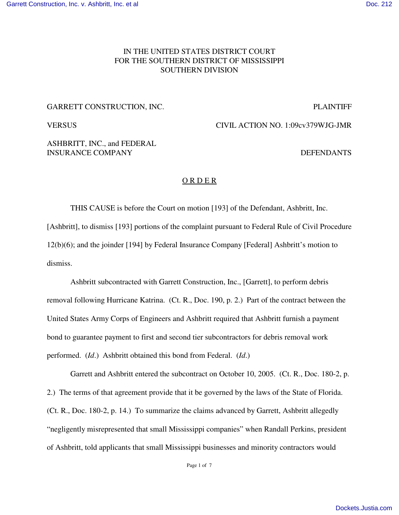# IN THE UNITED STATES DISTRICT COURT FOR THE SOUTHERN DISTRICT OF MISSISSIPPI SOUTHERN DIVISION

### GARRETT CONSTRUCTION, INC. The contract of the contract of the plaintiff plaintiff of the contract of the contract of the contract of the contract of the contract of the contract of the contract of the contract of the cont

VERSUS CIVIL ACTION NO. 1:09cv379WJG-JMR

ASHBRITT, INC., and FEDERAL INSURANCE COMPANY DEFENDANTS

### O R D E R

THIS CAUSE is before the Court on motion [193] of the Defendant, Ashbritt, Inc. [Ashbritt], to dismiss [193] portions of the complaint pursuant to Federal Rule of Civil Procedure 12(b)(6); and the joinder [194] by Federal Insurance Company [Federal] Ashbritt's motion to dismiss.

Ashbritt subcontracted with Garrett Construction, Inc., [Garrett], to perform debris removal following Hurricane Katrina. (Ct. R., Doc. 190, p. 2.) Part of the contract between the United States Army Corps of Engineers and Ashbritt required that Ashbritt furnish a payment bond to guarantee payment to first and second tier subcontractors for debris removal work performed. (*Id*.) Ashbritt obtained this bond from Federal. (*Id*.)

Garrett and Ashbritt entered the subcontract on October 10, 2005. (Ct. R., Doc. 180-2, p. 2.) The terms of that agreement provide that it be governed by the laws of the State of Florida. (Ct. R., Doc. 180-2, p. 14.) To summarize the claims advanced by Garrett, Ashbritt allegedly "negligently misrepresented that small Mississippi companies" when Randall Perkins, president of Ashbritt, told applicants that small Mississippi businesses and minority contractors would

Page 1 of 7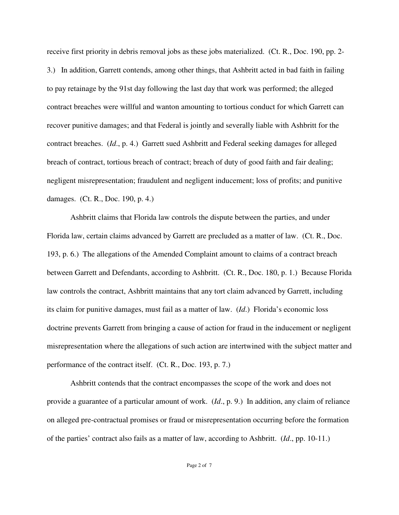receive first priority in debris removal jobs as these jobs materialized. (Ct. R., Doc. 190, pp. 2- 3.) In addition, Garrett contends, among other things, that Ashbritt acted in bad faith in failing to pay retainage by the 91st day following the last day that work was performed; the alleged contract breaches were willful and wanton amounting to tortious conduct for which Garrett can recover punitive damages; and that Federal is jointly and severally liable with Ashbritt for the contract breaches. (*Id*., p. 4.) Garrett sued Ashbritt and Federal seeking damages for alleged breach of contract, tortious breach of contract; breach of duty of good faith and fair dealing; negligent misrepresentation; fraudulent and negligent inducement; loss of profits; and punitive damages. (Ct. R., Doc. 190, p. 4.)

Ashbritt claims that Florida law controls the dispute between the parties, and under Florida law, certain claims advanced by Garrett are precluded as a matter of law. (Ct. R., Doc. 193, p. 6.) The allegations of the Amended Complaint amount to claims of a contract breach between Garrett and Defendants, according to Ashbritt. (Ct. R., Doc. 180, p. 1.) Because Florida law controls the contract, Ashbritt maintains that any tort claim advanced by Garrett, including its claim for punitive damages, must fail as a matter of law. (*Id*.) Florida's economic loss doctrine prevents Garrett from bringing a cause of action for fraud in the inducement or negligent misrepresentation where the allegations of such action are intertwined with the subject matter and performance of the contract itself. (Ct. R., Doc. 193, p. 7.)

Ashbritt contends that the contract encompasses the scope of the work and does not provide a guarantee of a particular amount of work. (*Id*., p. 9.) In addition, any claim of reliance on alleged pre-contractual promises or fraud or misrepresentation occurring before the formation of the parties' contract also fails as a matter of law, according to Ashbritt. (*Id*., pp. 10-11.)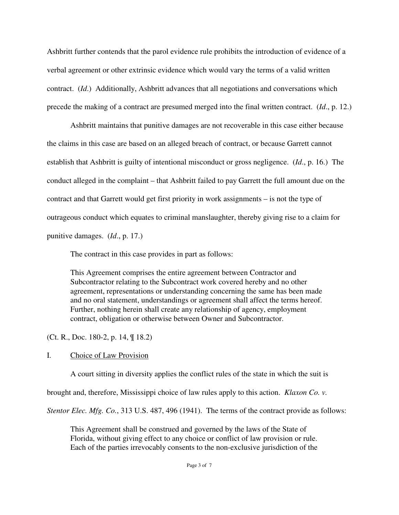Ashbritt further contends that the parol evidence rule prohibits the introduction of evidence of a verbal agreement or other extrinsic evidence which would vary the terms of a valid written contract. (*Id*.) Additionally, Ashbritt advances that all negotiations and conversations which precede the making of a contract are presumed merged into the final written contract. (*Id*., p. 12.)

Ashbritt maintains that punitive damages are not recoverable in this case either because the claims in this case are based on an alleged breach of contract, or because Garrett cannot establish that Ashbritt is guilty of intentional misconduct or gross negligence. (*Id*., p. 16.) The conduct alleged in the complaint – that Ashbritt failed to pay Garrett the full amount due on the contract and that Garrett would get first priority in work assignments – is not the type of outrageous conduct which equates to criminal manslaughter, thereby giving rise to a claim for punitive damages. (*Id*., p. 17.)

The contract in this case provides in part as follows:

This Agreement comprises the entire agreement between Contractor and Subcontractor relating to the Subcontract work covered hereby and no other agreement, representations or understanding concerning the same has been made and no oral statement, understandings or agreement shall affect the terms hereof. Further, nothing herein shall create any relationship of agency, employment contract, obligation or otherwise between Owner and Subcontractor.

(Ct. R., Doc. 180-2, p. 14, ¶ 18.2)

# I. Choice of Law Provision

A court sitting in diversity applies the conflict rules of the state in which the suit is

brought and, therefore, Mississippi choice of law rules apply to this action. *Klaxon Co. v.*

*Stentor Elec. Mfg. Co.*, 313 U.S. 487, 496 (1941). The terms of the contract provide as follows:

This Agreement shall be construed and governed by the laws of the State of Florida, without giving effect to any choice or conflict of law provision or rule. Each of the parties irrevocably consents to the non-exclusive jurisdiction of the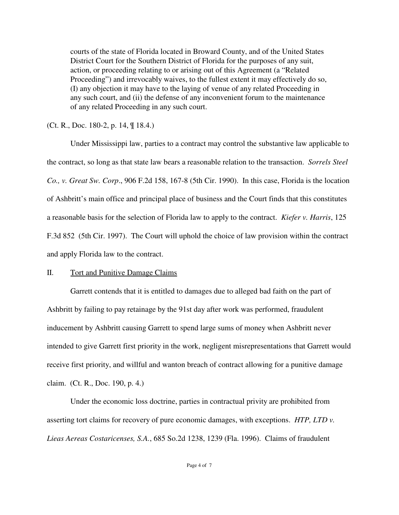courts of the state of Florida located in Broward County, and of the United States District Court for the Southern District of Florida for the purposes of any suit, action, or proceeding relating to or arising out of this Agreement (a "Related Proceeding") and irrevocably waives, to the fullest extent it may effectively do so, (I) any objection it may have to the laying of venue of any related Proceeding in any such court, and (ii) the defense of any inconvenient forum to the maintenance of any related Proceeding in any such court.

(Ct. R., Doc. 180-2, p. 14, ¶ 18.4.)

Under Mississippi law, parties to a contract may control the substantive law applicable to the contract, so long as that state law bears a reasonable relation to the transaction. *Sorrels Steel Co., v. Great Sw. Corp*., 906 F.2d 158, 167-8 (5th Cir. 1990). In this case, Florida is the location of Ashbritt's main office and principal place of business and the Court finds that this constitutes a reasonable basis for the selection of Florida law to apply to the contract. *Kiefer v. Harris*, 125 F.3d 852 (5th Cir. 1997). The Court will uphold the choice of law provision within the contract and apply Florida law to the contract.

## II. Tort and Punitive Damage Claims

Garrett contends that it is entitled to damages due to alleged bad faith on the part of Ashbritt by failing to pay retainage by the 91st day after work was performed, fraudulent inducement by Ashbritt causing Garrett to spend large sums of money when Ashbritt never intended to give Garrett first priority in the work, negligent misrepresentations that Garrett would receive first priority, and willful and wanton breach of contract allowing for a punitive damage claim. (Ct. R., Doc. 190, p. 4.)

Under the economic loss doctrine, parties in contractual privity are prohibited from asserting tort claims for recovery of pure economic damages, with exceptions. *HTP, LTD v. Lieas Aereas Costaricenses, S.A.*, 685 So.2d 1238, 1239 (Fla. 1996). Claims of fraudulent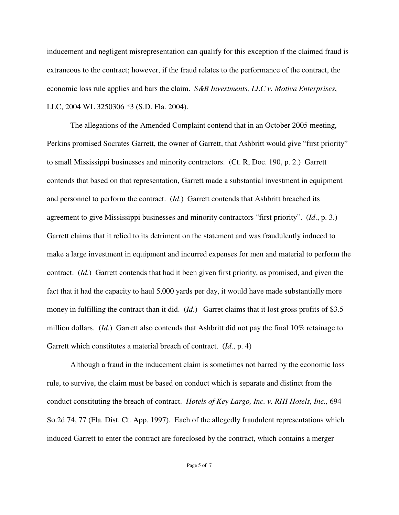inducement and negligent misrepresentation can qualify for this exception if the claimed fraud is extraneous to the contract; however, if the fraud relates to the performance of the contract, the economic loss rule applies and bars the claim. *S&B Investments, LLC v. Motiva Enterprises*, LLC, 2004 WL 3250306 \*3 (S.D. Fla. 2004).

The allegations of the Amended Complaint contend that in an October 2005 meeting, Perkins promised Socrates Garrett, the owner of Garrett, that Ashbritt would give "first priority" to small Mississippi businesses and minority contractors. (Ct. R, Doc. 190, p. 2.) Garrett contends that based on that representation, Garrett made a substantial investment in equipment and personnel to perform the contract. (*Id*.) Garrett contends that Ashbritt breached its agreement to give Mississippi businesses and minority contractors "first priority". (*Id*., p. 3.) Garrett claims that it relied to its detriment on the statement and was fraudulently induced to make a large investment in equipment and incurred expenses for men and material to perform the contract. (*Id*.) Garrett contends that had it been given first priority, as promised, and given the fact that it had the capacity to haul 5,000 yards per day, it would have made substantially more money in fulfilling the contract than it did. (*Id*.) Garret claims that it lost gross profits of \$3.5 million dollars. (*Id*.) Garrett also contends that Ashbritt did not pay the final 10% retainage to Garrett which constitutes a material breach of contract. (*Id*., p. 4)

Although a fraud in the inducement claim is sometimes not barred by the economic loss rule, to survive, the claim must be based on conduct which is separate and distinct from the conduct constituting the breach of contract. *Hotels of Key Largo, Inc. v. RHI Hotels, Inc.,* 694 So.2d 74, 77 (Fla. Dist. Ct. App. 1997). Each of the allegedly fraudulent representations which induced Garrett to enter the contract are foreclosed by the contract, which contains a merger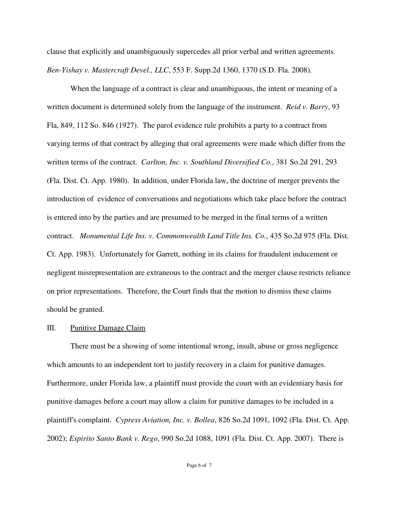clause that explicitly and unambiguously supercedes all prior verbal and written agreements. *Ben-Yishay v. Mastercraft Devel., LLC*, 553 F. Supp.2d 1360, 1370 (S.D. Fla. 2008).

When the language of a contract is clear and unambiguous, the intent or meaning of a written document is determined solely from the language of the instrument. *Reid v. Barry*, 93 Fla, 849, 112 So. 846 (1927). The parol evidence rule prohibits a party to a contract from varying terms of that contract by alleging that oral agreements were made which differ from the written terms of the contract. *Carlton, Inc. v. Southland Diversified Co.*, 381 So.2d 291, 293 (Fla. Dist. Ct. App. 1980). In addition, under Florida law, the doctrine of merger prevents the introduction of evidence of conversations and negotiations which take place before the contract is entered into by the parties and are presumed to be merged in the final terms of a written contract. *Monumental Life Ins. v. Commonwealth Land Title Ins. Co.*, 435 So.2d 975 (Fla. Dist. Ct. App. 1983). Unfortunately for Garrett, nothing in its claims for fraudulent inducement or negligent misrepresentation are extraneous to the contract and the merger clause restricts reliance on prior representations. Therefore, the Court finds that the motion to dismiss these claims should be granted.

### III. Punitive Damage Claim

There must be a showing of some intentional wrong, insult, abuse or gross negligence which amounts to an independent tort to justify recovery in a claim for punitive damages. Furthermore, under Florida law, a plaintiff must provide the court with an evidentiary basis for punitive damages before a court may allow a claim for punitive damages to be included in a plaintiff's complaint. *Cypress Aviation, Inc. v. Bollea*, 826 So.2d 1091, 1092 (Fla. Dist. Ct. App. 2002); *Espirito Santo Bank v. Rego*, 990 So.2d 1088, 1091 (Fla. Dist. Ct. App. 2007). There is